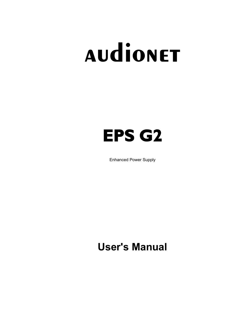# **audionet**

# **EPS G2**

Enhanced Power Supply

**User's Manual**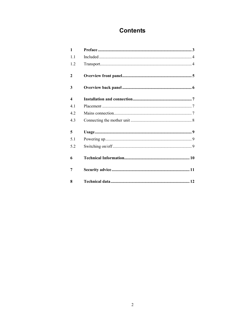# **Contents**

| 1                |  |
|------------------|--|
| $1\,1$           |  |
| 1.2              |  |
| $\mathbf{2}$     |  |
| 3                |  |
| $\boldsymbol{4}$ |  |
| 4.1              |  |
| 4.2              |  |
| 4.3              |  |
| 5                |  |
| 5.1              |  |
| 5.2              |  |
| 6                |  |
| 7                |  |
| 8                |  |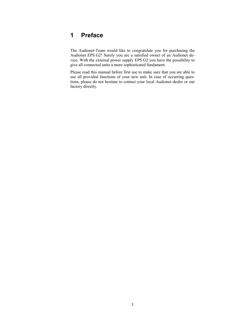# **1 Preface**

The Audionet-Team would like to congratulate you for purchasing the Audionet EPS G2! Surely you are a satisfied owner of an Audionet device. With the external power supply EPS G2 you have the possibility to give all connected units a more sophisticated fundament.

Please read this manual before first use to make sure that you are able to use all provided functions of your new unit. In case of occurring questions, please do not hesitate to contact your local Audionet dealer or our factory directly.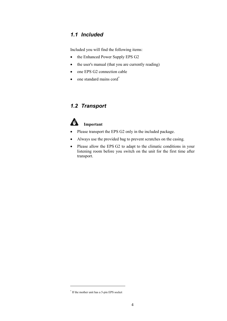### *1.1 Included*

Included you will find the following items:

- the Enhanced Power Supply EPS G2
- the user's manual (that you are currently reading)
- one EPS G2 connection cable
- one standard mains cord<sup>\*</sup>

# *1.2 Transport*



#### **Important**

- · Please transport the EPS G2 only in the included package.
- · Always use the provided bag to prevent scratches on the casing.
- Please allow the EPS G2 to adapt to the climatic conditions in your listening room before you switch on the unit for the first time after transport.

 $\overline{a}$ 

<sup>\*</sup> If the mother unit has a 5-pin EPS socket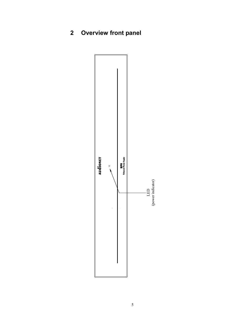**2 Overview front panel** 

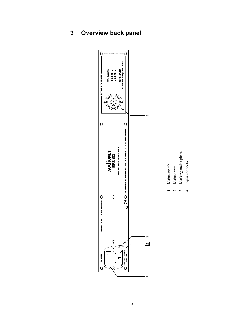**3 Overview back panel** 



**3** 

**4**

7-pin connector

7-pin connector

3 Marking mains phase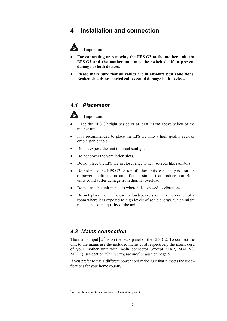## **4 Installation and connection**



#### **Important**

- · **For connecting or removing the EPS G2 to the mother unit, the EPS G2 and the mother unit must be switched off to prevent damage to both devices.**
- · **Please make sure that all cables are in absolute best conditions! Broken shields or shorted cables could damage both devices.**

#### *4.1 Placement*



#### **Important**

- Place the EPS G2 right beside or at least 20 cm above/below of the mother unit.
- It is recommended to place the EPS G2 into a high quality rack or onto a stable table.
- Do not expose the unit to direct sunlight.
- Do not cover the ventilation slots.
- Do not place the EPS G2 in close range to heat sources like radiators.
- Do not place the EPS G2 on top of other units, especially not on top of power amplifiers, pre amplifiers or similar that produce heat. Both units could suffer damage from thermal overload.
- · Do not use the unit in places where it is exposed to vibrations.
- · Do not place the unit close to loudspeakers or into the corner of a room where it is exposed to high levels of sonic energy, which might reduce the sound quality of the unit.

#### *4.2 Mains connection*

The mains input  $2^*$  is on the back panel of the EPS G2. To connect the unit to the mains use the included mains cord respectively the mains cord of your mother unit with 7-pin connector (except MAP, MAP V2, MAP I), see section *'Connecting the mother unit*' on page 8.

If you prefer to use a different power cord make sure that it meets the specifications for your home country

 $\overline{a}$ 

<sup>\*</sup> see numbers in section '*Overview back panel*' on page 8.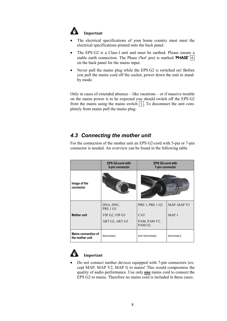

#### **Important**

- The electrical specifications of your home country must meet the electrical specifications printed onto the back panel.
- · The EPS G2 is a Class I unit and must be earthed. Please ensure a stable earth connection. The Phase ('hot' pin) is marked 'PHASE'  $|6|$ on the back panel for the mains input.
- Never pull the mains plug while the EPS G2 is switched on! Before you pull the mains cord off the socket, power down the unit to standby mode.

Only in cases of extended absence – like vacations – or if massive trouble on the mains power is to be expected you should switch off the EPS G2 from the mains using the mains switch  $\boxed{1}$ . To disconnect the unit completely from mains pull the mains plug.

# *4.3 Connecting the mother unit*

For the connection of the mother unit an EPS G2-cord with 5-pin or 7-pin connector is needed. An overview can be found in the following table.

|                                        | <b>EPS G2-cord with</b><br>5-pin connector | <b>EPS G2-cord with</b><br>7-pin connector |             |
|----------------------------------------|--------------------------------------------|--------------------------------------------|-------------|
| Image of the<br>connector              |                                            |                                            |             |
|                                        | DNA, DNC,<br><b>PRE 1 G3</b>               | <b>PRE 1, PRE 1 G2</b>                     | MAP, MAP V2 |
| <b>Mother unit</b>                     | VIP G2, VIP G3                             | <b>CAT</b>                                 | MAP 1       |
|                                        | ART G2, ART G3                             | PAM, PAM V2,<br>PAM G <sub>2</sub>         |             |
| Mains connection of<br>the mother unit | necessary                                  | not necessary                              | necessary   |



### **Important**

· Do not connect mother devices equipped with 7-pin connectors (except MAP, MAP V2, MAP I) to mains! This would compromise the quality of audio performance. Use only **one** mains cord to connect the EPS G2 to mains. Therefore no mains cord is included in these cases.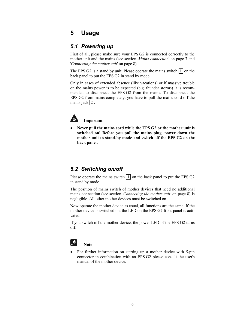# **5 Usage**

#### *5.1 Powering up*

First of all, please make sure your EPS G2 is connected correctly to the mother unit and the mains (see section '*Mains connection*' on page 7 and '*Connecting the mother unit*' on page 8).

The EPS G2 is a stand by unit. Please operate the mains switch  $\boxed{1}$  on the back panel to put the EPS G2 in stand by mode.

Only in cases of extended absence (like vacations) or if massive trouble on the mains power is to be expected (e.g. thunder storms) it is recommended to disconnect the EPS G2 from the mains. To disconnect the EPS G2 from mains completely, you have to pull the mains cord off the mains jack  $2$ .



#### **Important**

· **Never pull the mains cord while the EPS G2 or the mother unit is switched on! Before you pull the mains plug, power down the mother unit to stand-by mode and switch off the EPS G2 on the back panel.** 

### *5.2 Switching on/off*

Please operate the mains switch  $\boxed{1}$  on the back panel to put the EPS G2 in stand by mode.

The position of mains switch of mother devices that need no additional mains connection (see section '*Connecting the mother unit'* on page 8) is negligible. All other mother devices must be switched on.

Now operate the mother device as usual, all functions are the same. If the mother device is switched on, the LED on the EPS G2 front panel is activated.

If you switch off the mother device, the power LED of the EPS G2 turns off.



#### **Note**

For further information on starting up a mother device with 5-pin connector in combination with an EPS G2 please consult the user's manual of the mother device.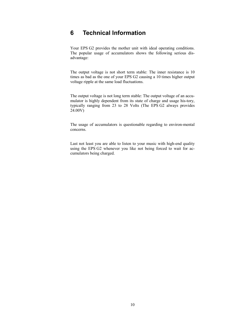# **6 Technical Information**

Your EPS G2 provides the mother unit with ideal operating conditions. The popular usage of accumulators shows the following serious disadvantage:

The output voltage is not short term stable: The inner resistance is 10 times as bad as the one of your EPS G2 causing a 10 times higher output voltage ripple at the same load fluctuations.

The output voltage is not long term stable: The output voltage of an accumulator is highly dependent from its state of charge and usage his-tory, typically ranging from 23 to 28 Volts (The EPS G2 always provides 24.00V)

The usage of accumulators is questionable regarding to environ-mental concerns.

Last not least you are able to listen to your music with high-end quality using the EPS G2 whenever you like not being forced to wait for accumulators being charged.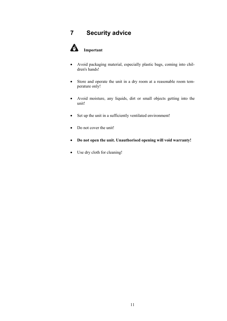# **7 Security advice**



- · Avoid packaging material, especially plastic bags, coming into children's hands!
- · Store and operate the unit in a dry room at a reasonable room temperature only!
- · Avoid moisture, any liquids, dirt or small objects getting into the unit!
- · Set up the unit in a sufficiently ventilated environment!
- Do not cover the unit!
- · **Do not open the unit. Unauthorised opening will void warranty!**
- Use dry cloth for cleaning!